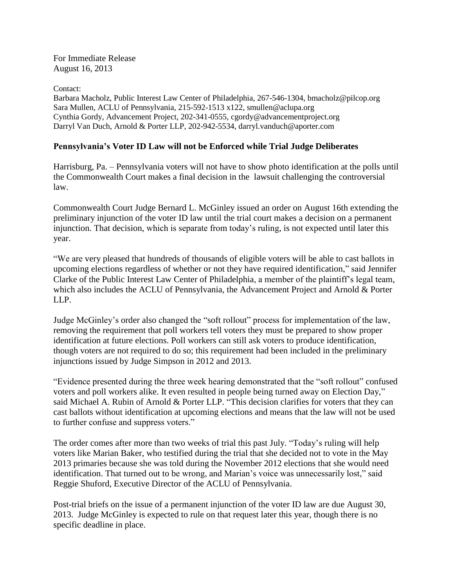For Immediate Release August 16, 2013

Contact: Barbara Macholz, Public Interest Law Center of Philadelphia, 267-546-1304, bmacholz@pilcop.org Sara Mullen, ACLU of Pennsylvania, 215-592-1513 x122, smullen@aclupa.org Cynthia Gordy, Advancement Project, 202-341-0555, cgordy@advancementproject.org Darryl Van Duch, Arnold & Porter LLP, 202-942-5534, darryl.vanduch@aporter.com

## **Pennsylvania's Voter ID Law will not be Enforced while Trial Judge Deliberates**

Harrisburg, Pa. – Pennsylvania voters will not have to show photo identification at the polls until the Commonwealth Court makes a final decision in the lawsuit challenging the controversial law.

Commonwealth Court Judge Bernard L. McGinley issued an order on August 16th extending the preliminary injunction of the voter ID law until the trial court makes a decision on a permanent injunction. That decision, which is separate from today's ruling, is not expected until later this year.

"We are very pleased that hundreds of thousands of eligible voters will be able to cast ballots in upcoming elections regardless of whether or not they have required identification," said Jennifer Clarke of the Public Interest Law Center of Philadelphia, a member of the plaintiff's legal team, which also includes the ACLU of Pennsylvania, the Advancement Project and Arnold & Porter LLP.

Judge McGinley's order also changed the "soft rollout" process for implementation of the law, removing the requirement that poll workers tell voters they must be prepared to show proper identification at future elections. Poll workers can still ask voters to produce identification, though voters are not required to do so; this requirement had been included in the preliminary injunctions issued by Judge Simpson in 2012 and 2013.

"Evidence presented during the three week hearing demonstrated that the "soft rollout" confused voters and poll workers alike. It even resulted in people being turned away on Election Day," said Michael A. Rubin of Arnold & Porter LLP. "This decision clarifies for voters that they can cast ballots without identification at upcoming elections and means that the law will not be used to further confuse and suppress voters."

The order comes after more than two weeks of trial this past July. "Today's ruling will help voters like Marian Baker, who testified during the trial that she decided not to vote in the May 2013 primaries because she was told during the November 2012 elections that she would need identification. That turned out to be wrong, and Marian's voice was unnecessarily lost," said Reggie Shuford, Executive Director of the ACLU of Pennsylvania.

Post-trial briefs on the issue of a permanent injunction of the voter ID law are due August 30, 2013. Judge McGinley is expected to rule on that request later this year, though there is no specific deadline in place.